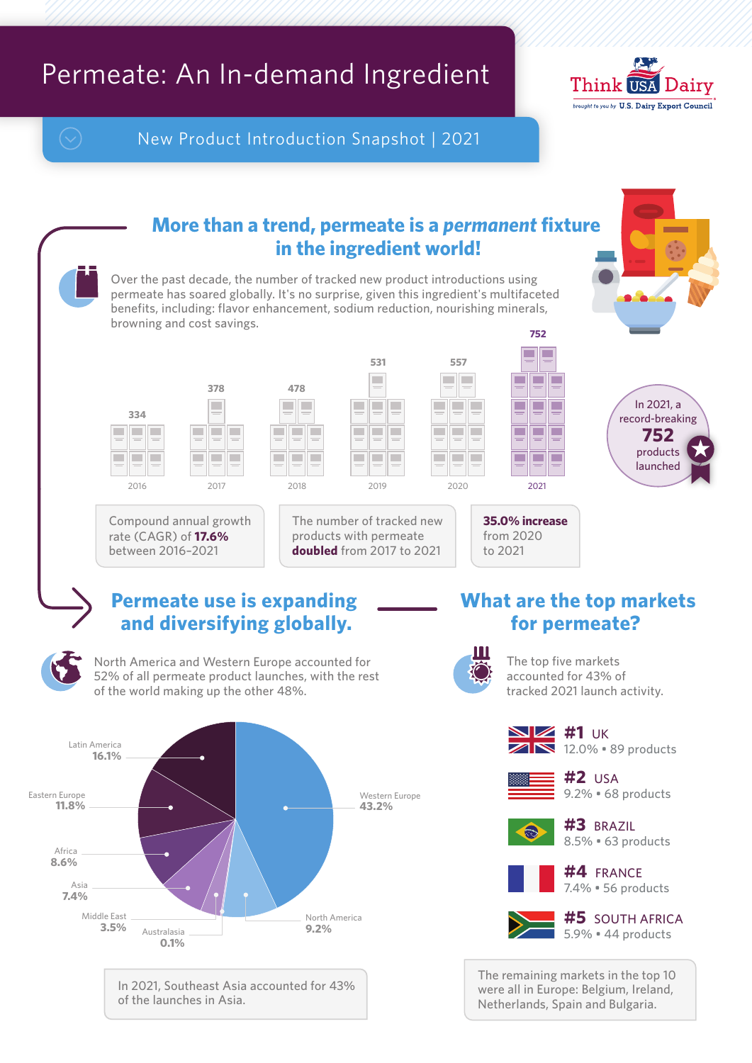## Permeate: An In-demand Ingredient



New Product Introduction Snapshot | 2021

**478**

T.

**COL** 

m.

2018

## **More than a trend, permeate is a** *permanent* **fixture in the ingredient world!**

Over the past decade, the number of tracked new product introductions using permeate has soared globally. It's no surprise, given this ingredient's multifaceted benefits, including: flavor enhancement, sodium reduction, nourishing minerals, browning and cost savings. **752**



2016





The number of tracked new products with permeate **doubled** from 2017 to 2021

п

**COL** 



In 2021, a record-breaking **752** products launched

Compound annual growth rate (CAGR) of **17.6%**  between 2016–2021

## **Permeate use is expanding and diversifying globally.**



North America and Western Europe accounted for 52% of all permeate product launches, with the rest of the world making up the other 48%.



In 2021, Southeast Asia accounted for 43% of the launches in Asia.

## **What are the top markets for permeate?**



The top five markets accounted for 43% of tracked 2021 launch activity.



**35.0% increase** from 2020 to 2021

 $\blacksquare$ 

 $\blacksquare$ 

 $\blacksquare$ г

⊏ ⊏

┎ п

Г

 $\sqrt{1}$  12.0%  $\cdot$  89 products **NZ** #1  $\cup$ K



9.2% • 68 products **#2** USA



8.5% • 63 products **#3** BRAZIL



**#5** SOUTH AFRICA

5.9% • 44 products

The remaining markets in the top 10 were all in Europe: Belgium, Ireland, Netherlands, Spain and Bulgaria.